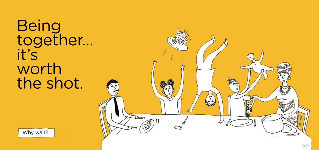**Being** together… it's worth the shot.



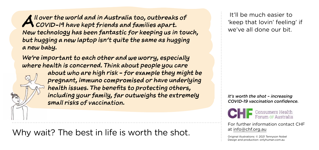*I*l over the world and in Australia too, outbreaks of<br> *COVID-19 have kept friends and families apart.*<br>
We've all done our bit  *COVID-19 have kept friends and families apart. New technology has been fantastic for keeping us in touch, but hugging a new laptop isn't quite the same as hugging a new baby.* 

*We're important to each other and we worry, especially where health is concerned. Think about people you care* 

*about who are high risk - for example they might be pregnant, immuno compromised or have underlying health issues. The benefits to protecting others, including your family, far outweighs the extremely small risks of vaccination.*

Why wait? The best in life is worth the shot.

 It'll be much easier to we've all done our bit.

*It's worth the shot – increasing COVID-19 vaccination confidence.*



For further information contact CHF at info@chf.org.au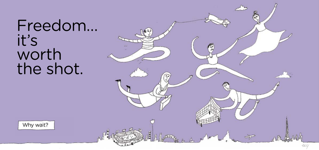## Freedom… it's worth the shot.

 $\mathbb{C}$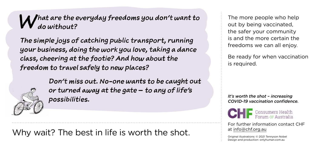## *What are the everyday freedoms you don't want to do without?*

*The simple joys of catching public transport, running your business, doing the work you love, taking a dance class, cheering at the footie? And how about the freedom to travel safely to new places?*



*Don't miss out. No-one wants to be caught out or turned away at the gate – to any of life's possibilities.*

Why wait? The best in life is worth the shot.

The more people who help out by being vaccinated, the safer your community is and the more certain the freedoms we can all enjoy.

Be ready for when vaccination is required.

*It's worth the shot – increasing COVID-19 vaccination confidence.*



For further information contact CHF at info@chf.org.au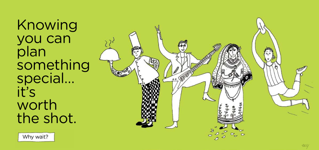Knowing you can plan something special… it's worth the shot.

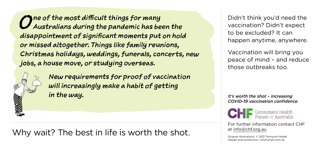*One of the most difficult things for many Australians during the pandemic has been the disappointment of significant moments put on hold or missed altogether. Things like family reunions, Christmas holidays, weddings, funerals, concerts, new jobs, a house move, or studying overseas.* 



*New requirements for proof of vaccination will increasingly make a habit of getting in the way.*

Why wait? The best in life is worth the shot.

Didn't think you'd need the vaccination? Didn't expect to be excluded? It can happen anytime, anywhere.

Vaccination will bring you peace of mind – and reduce those outbreaks too.

*It's worth the shot – increasing COVID-19 vaccination confidence.*



For further information contact CHF at info@chf.org.au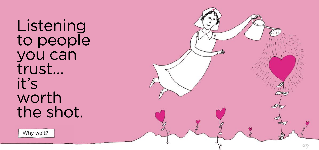**Listening** to people you can trust… it's worth the shot.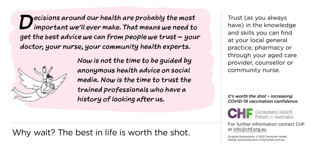*Decisions around our health are probably the most important we'll ever make. That means we need to get the best advice we can from people we trust – your doctor, your nurse, your community health experts.* 



*Now is not the time to be guided by anonymous health advice on social media. Now is the time to trust the trained professionals who have a history of looking after us.*

Why wait? The best in life is worth the shot.

Trust (as you always have) in the knowledge and skills you can find at your local general practice, pharmacy or through your aged care provider, counsellor or community nurse.

*It's worth the shot – increasing COVID-19 vaccination confidence.*



For further information contact CHF at info@chf.org.au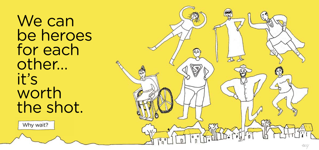We can be heroes for each other… it's worth the shot.

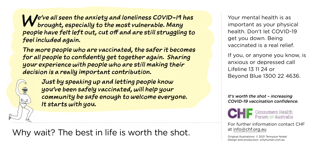*We've all seen the anxiety and loneliness COVID-19 has brought, especially to the most vulnerable. Many people have felt left out, cut off and are still struggling to feel included again.*

*The more people who are vaccinated, the safer it becomes for all people to confidently get together again. Sharing your experience with people who are still making their decision is a really important contribution.* 



*Just by speaking up and letting people know you've been safely vaccinated, will help your community be safe enough to welcome everyone. It starts with you.*

Why wait? The best in life is worth the shot.

Your mental health is as important as your physical health. Don't let COVID-19 get you down. Being vaccinated is a real relief.

If you, or anyone you know, is anxious or depressed call Lifeline 13 11 24 or Beyond Blue 1300 22 4636.

*It's worth the shot – increasing COVID-19 vaccination confidence.*



For further information contact CHF at info@chf.org.au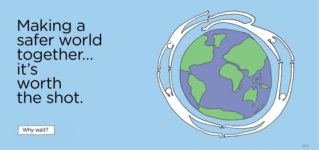Making a safer world together… it's worth the shot.